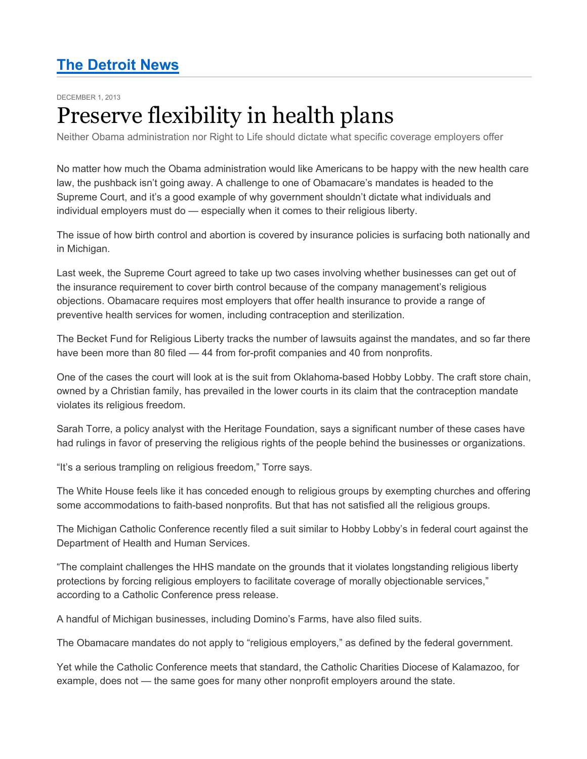## **The Detroit News**

DECEMBER 1, 2013

## Preserve flexibility in health plans

Neither Obama administration nor Right to Life should dictate what specific coverage employers offer

No matter how much the Obama administration would like Americans to be happy with the new health care law, the pushback isn't going away. A challenge to one of Obamacare's mandates is headed to the Supreme Court, and it's a good example of why government shouldn't dictate what individuals and individual employers must do — especially when it comes to their religious liberty.

The issue of how birth control and abortion is covered by insurance policies is surfacing both nationally and in Michigan.

Last week, the Supreme Court agreed to take up two cases involving whether businesses can get out of the insurance requirement to cover birth control because of the company management's religious objections. Obamacare requires most employers that offer health insurance to provide a range of preventive health services for women, including contraception and sterilization.

The Becket Fund for Religious Liberty tracks the number of lawsuits against the mandates, and so far there have been more than 80 filed - 44 from for-profit companies and 40 from nonprofits.

One of the cases the court will look at is the suit from Oklahoma-based Hobby Lobby. The craft store chain, owned by a Christian family, has prevailed in the lower courts in its claim that the contraception mandate violates its religious freedom.

Sarah Torre, a policy analyst with the Heritage Foundation, says a significant number of these cases have had rulings in favor of preserving the religious rights of the people behind the businesses or organizations.

"It's a serious trampling on religious freedom," Torre says.

The White House feels like it has conceded enough to religious groups by exempting churches and offering some accommodations to faith-based nonprofits. But that has not satisfied all the religious groups.

The Michigan Catholic Conference recently filed a suit similar to Hobby Lobby's in federal court against the Department of Health and Human Services.

"The complaint challenges the HHS mandate on the grounds that it violates longstanding religious liberty protections by forcing religious employers to facilitate coverage of morally objectionable services," according to a Catholic Conference press release.

A handful of Michigan businesses, including Domino's Farms, have also filed suits.

The Obamacare mandates do not apply to "religious employers," as defined by the federal government.

Yet while the Catholic Conference meets that standard, the Catholic Charities Diocese of Kalamazoo, for example, does not — the same goes for many other nonprofit employers around the state.